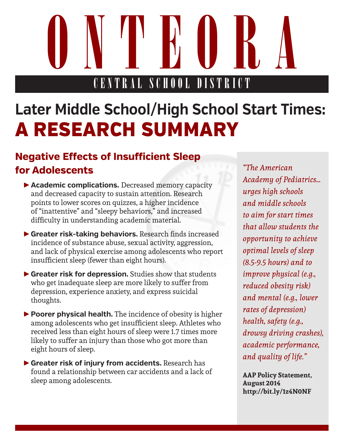ONTE COLORATORA CENTRAL SCHOOL DISTRICT

## **Later Middle School/High School Start Times:**  A RESEARCH SUMMARY

## **Negative Effects of Insufficient Sleep for Adolescents**

- ►**Academic complications.** Decreased memory capacity and decreased capacity to sustain attention. Research points to lower scores on quizzes, a higher incidence of "inattentive" and "sleepy behaviors," and increased difficulty in understanding academic material.
- ►**Greater risk-taking behaviors.** Research finds increased incidence of substance abuse, sexual activity, aggression, and lack of physical exercise among adolescents who report insufficient sleep (fewer than eight hours).
- ►**Greater risk for depression.** Studies show that students who get inadequate sleep are more likely to suffer from depression, experience anxiety, and express suicidal thoughts.
- ►**Poorer physical health.** The incidence of obesity is higher among adolescents who get insufficient sleep. Athletes who received less than eight hours of sleep were 1.7 times more likely to suffer an injury than those who got more than eight hours of sleep.
- ►**Greater risk of injury from accidents.** Research has found a relationship between car accidents and a lack of sleep among adolescents.

*"The American Academy of Pediatrics… urges high schools and middle schools to aim for start times that allow students the opportunity to achieve optimal levels of sleep (8.5-9.5 hours) and to improve physical (e.g., reduced obesity risk) and mental (e.g., lower rates of depression) health, safety (e.g., drowsy driving crashes), academic performance, and quality of life."* 

**AAP Policy Statement, August 2014 http://bit.ly/1z4N0NF**